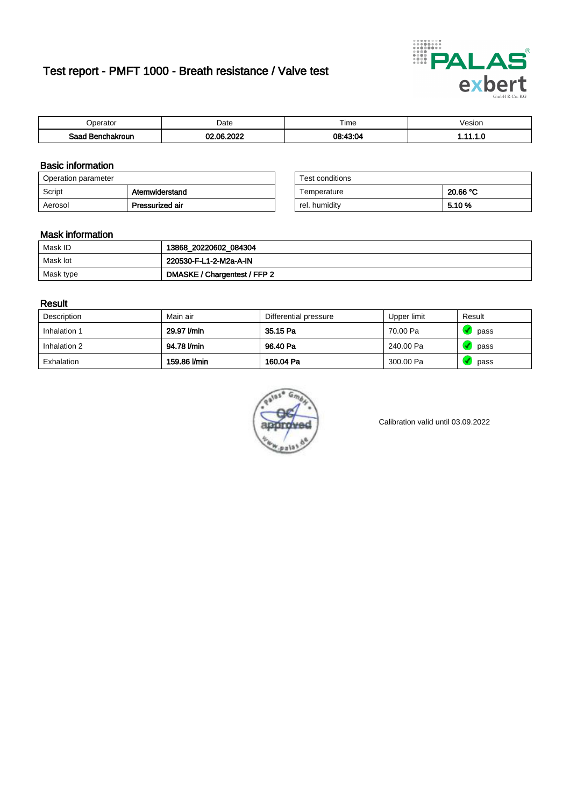# Test report - PMFT 1000 - Breath resistance / Valve test



| <b>'</b> perator                 | Date          | $- \cdot$<br><b>Time</b> | /esion |
|----------------------------------|---------------|--------------------------|--------|
| Saad.<br><b>ochakroun</b><br>. . | 000<br>$\sim$ | า <b>ค∙⊿</b> ล∙∩⊿        | .      |

### Basic information

| Operation parameter |                 | Test conditions |          |
|---------------------|-----------------|-----------------|----------|
| Script              | Atemwiderstand  | Temperature     | 20.66 °C |
| Aerosol             | Pressurized air | rel. humidity   | 5.10 %   |

| Test conditions |          |
|-----------------|----------|
| Temperature     | 20.66 °C |
| rel. humidity   | 5.10%    |

### Mask information

| Mask ID   | 13868_20220602_084304        |
|-----------|------------------------------|
| Mask lot  | 220530-F-L1-2-M2a-A-IN       |
| Mask type | DMASKE / Chargentest / FFP 2 |

### Result

| Description  | Main air     | Differential pressure | Upper limit | Result |
|--------------|--------------|-----------------------|-------------|--------|
| Inhalation 1 | 29.97 l/min  | 35.15 Pa              | 70.00 Pa    | pass   |
| Inhalation 2 | 94.78 l/min  | 96.40 Pa              | 240.00 Pa   | pass   |
| Exhalation   | 159.86 l/min | 160.04 Pa             | 300.00 Pa   | pass   |



Calibration valid until 03.09.2022